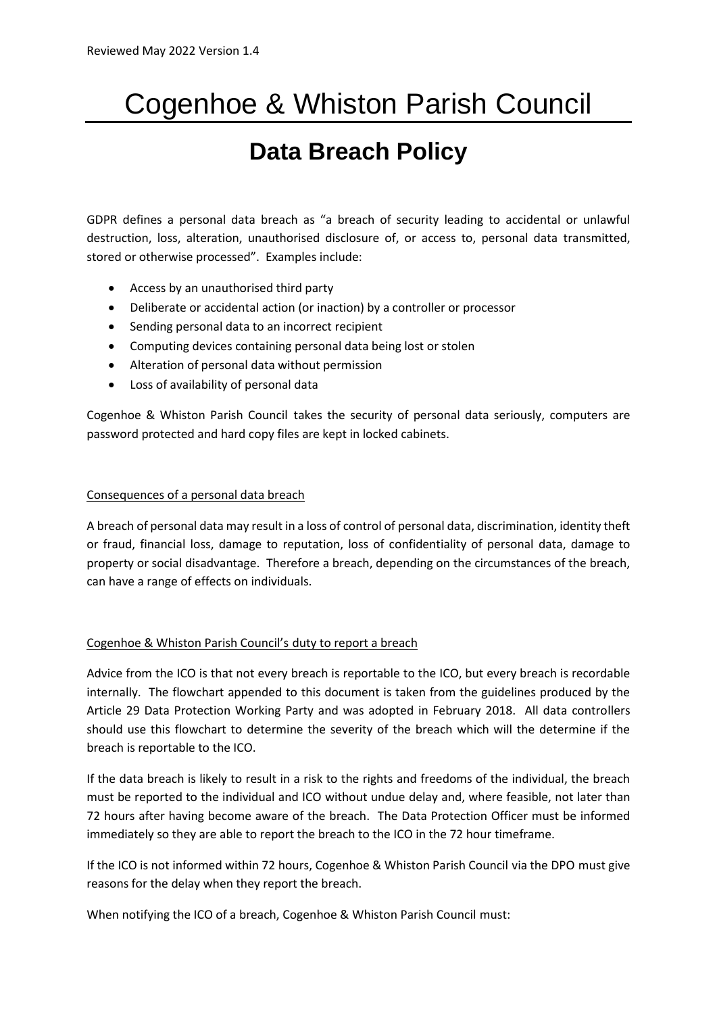# Cogenhoe & Whiston Parish Council

# **Data Breach Policy**

GDPR defines a personal data breach as "a breach of security leading to accidental or unlawful destruction, loss, alteration, unauthorised disclosure of, or access to, personal data transmitted, stored or otherwise processed". Examples include:

- Access by an unauthorised third party
- Deliberate or accidental action (or inaction) by a controller or processor
- Sending personal data to an incorrect recipient
- Computing devices containing personal data being lost or stolen
- Alteration of personal data without permission
- Loss of availability of personal data

Cogenhoe & Whiston Parish Council takes the security of personal data seriously, computers are password protected and hard copy files are kept in locked cabinets.

### Consequences of a personal data breach

A breach of personal data may result in a loss of control of personal data, discrimination, identity theft or fraud, financial loss, damage to reputation, loss of confidentiality of personal data, damage to property or social disadvantage. Therefore a breach, depending on the circumstances of the breach, can have a range of effects on individuals.

## Cogenhoe & Whiston Parish Council's duty to report a breach

Advice from the ICO is that not every breach is reportable to the ICO, but every breach is recordable internally. The flowchart appended to this document is taken from the guidelines produced by the Article 29 Data Protection Working Party and was adopted in February 2018. All data controllers should use this flowchart to determine the severity of the breach which will the determine if the breach is reportable to the ICO.

If the data breach is likely to result in a risk to the rights and freedoms of the individual, the breach must be reported to the individual and ICO without undue delay and, where feasible, not later than 72 hours after having become aware of the breach. The Data Protection Officer must be informed immediately so they are able to report the breach to the ICO in the 72 hour timeframe.

If the ICO is not informed within 72 hours, Cogenhoe & Whiston Parish Council via the DPO must give reasons for the delay when they report the breach.

When notifying the ICO of a breach, Cogenhoe & Whiston Parish Council must: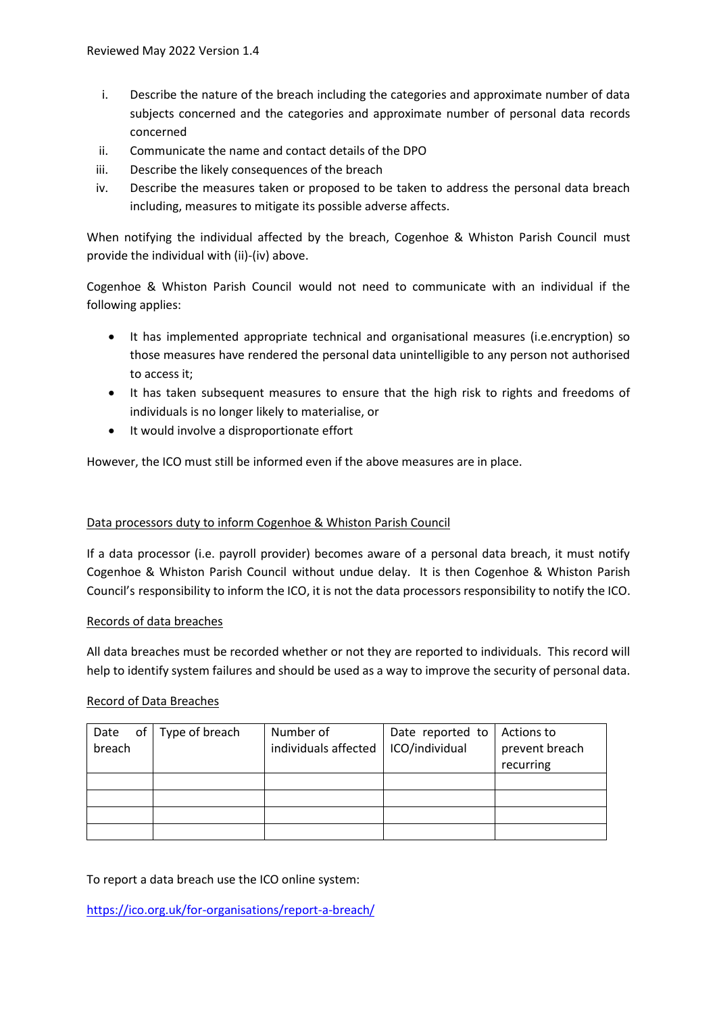- i. Describe the nature of the breach including the categories and approximate number of data subjects concerned and the categories and approximate number of personal data records concerned
- ii. Communicate the name and contact details of the DPO
- iii. Describe the likely consequences of the breach
- iv. Describe the measures taken or proposed to be taken to address the personal data breach including, measures to mitigate its possible adverse affects.

When notifying the individual affected by the breach, Cogenhoe & Whiston Parish Council must provide the individual with (ii)-(iv) above.

Cogenhoe & Whiston Parish Council would not need to communicate with an individual if the following applies:

- It has implemented appropriate technical and organisational measures (i.e.encryption) so those measures have rendered the personal data unintelligible to any person not authorised to access it;
- It has taken subsequent measures to ensure that the high risk to rights and freedoms of individuals is no longer likely to materialise, or
- It would involve a disproportionate effort

However, the ICO must still be informed even if the above measures are in place.

#### Data processors duty to inform Cogenhoe & Whiston Parish Council

If a data processor (i.e. payroll provider) becomes aware of a personal data breach, it must notify Cogenhoe & Whiston Parish Council without undue delay. It is then Cogenhoe & Whiston Parish Council's responsibility to inform the ICO, it is not the data processors responsibility to notify the ICO.

#### Records of data breaches

All data breaches must be recorded whether or not they are reported to individuals. This record will help to identify system failures and should be used as a way to improve the security of personal data.

# Record of Data Breaches

| of<br>Date | Type of breach | Number of            | Date reported to | Actions to     |
|------------|----------------|----------------------|------------------|----------------|
| breach     |                | individuals affected | ICO/individual   | prevent breach |
|            |                |                      |                  | recurring      |
|            |                |                      |                  |                |
|            |                |                      |                  |                |
|            |                |                      |                  |                |
|            |                |                      |                  |                |

To report a data breach use the ICO online system:

<https://ico.org.uk/for-organisations/report-a-breach/>